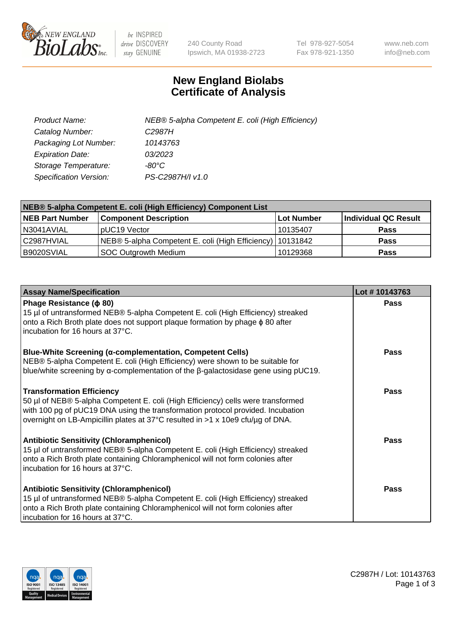

 $be$  INSPIRED drive DISCOVERY stay GENUINE

240 County Road Ipswich, MA 01938-2723 Tel 978-927-5054 Fax 978-921-1350 www.neb.com info@neb.com

## **New England Biolabs Certificate of Analysis**

| Product Name:           | NEB® 5-alpha Competent E. coli (High Efficiency) |
|-------------------------|--------------------------------------------------|
| Catalog Number:         | C <sub>2987</sub> H                              |
| Packaging Lot Number:   | 10143763                                         |
| <b>Expiration Date:</b> | 03/2023                                          |
| Storage Temperature:    | -80°C                                            |
| Specification Version:  | PS-C2987H/I v1.0                                 |

| NEB® 5-alpha Competent E. coli (High Efficiency) Component List |                                                           |                   |                      |  |
|-----------------------------------------------------------------|-----------------------------------------------------------|-------------------|----------------------|--|
| <b>NEB Part Number</b>                                          | <b>Component Description</b>                              | <b>Lot Number</b> | Individual QC Result |  |
| N3041AVIAL                                                      | pUC19 Vector                                              | 10135407          | <b>Pass</b>          |  |
| C2987HVIAL                                                      | NEB® 5-alpha Competent E. coli (High Efficiency) 10131842 |                   | <b>Pass</b>          |  |
| B9020SVIAL                                                      | <b>SOC Outgrowth Medium</b>                               | 10129368          | <b>Pass</b>          |  |

| <b>Assay Name/Specification</b>                                                                                                                                                                                                                                                           | Lot #10143763 |
|-------------------------------------------------------------------------------------------------------------------------------------------------------------------------------------------------------------------------------------------------------------------------------------------|---------------|
| Phage Resistance ( $\phi$ 80)<br>15 µl of untransformed NEB® 5-alpha Competent E. coli (High Efficiency) streaked<br>onto a Rich Broth plate does not support plaque formation by phage φ 80 after<br>incubation for 16 hours at 37°C.                                                    | <b>Pass</b>   |
| <b>Blue-White Screening (α-complementation, Competent Cells)</b><br>NEB® 5-alpha Competent E. coli (High Efficiency) were shown to be suitable for<br>blue/white screening by $\alpha$ -complementation of the $\beta$ -galactosidase gene using pUC19.                                   | Pass          |
| <b>Transformation Efficiency</b><br>50 µl of NEB® 5-alpha Competent E. coli (High Efficiency) cells were transformed<br>with 100 pg of pUC19 DNA using the transformation protocol provided. Incubation<br>overnight on LB-Ampicillin plates at 37°C resulted in >1 x 10e9 cfu/µg of DNA. | Pass          |
| <b>Antibiotic Sensitivity (Chloramphenicol)</b><br>15 µl of untransformed NEB® 5-alpha Competent E. coli (High Efficiency) streaked<br>onto a Rich Broth plate containing Chloramphenicol will not form colonies after<br>incubation for 16 hours at 37°C.                                | <b>Pass</b>   |
| <b>Antibiotic Sensitivity (Chloramphenicol)</b><br>15 µl of untransformed NEB® 5-alpha Competent E. coli (High Efficiency) streaked<br>onto a Rich Broth plate containing Chloramphenicol will not form colonies after<br>incubation for 16 hours at 37°C.                                | Pass          |

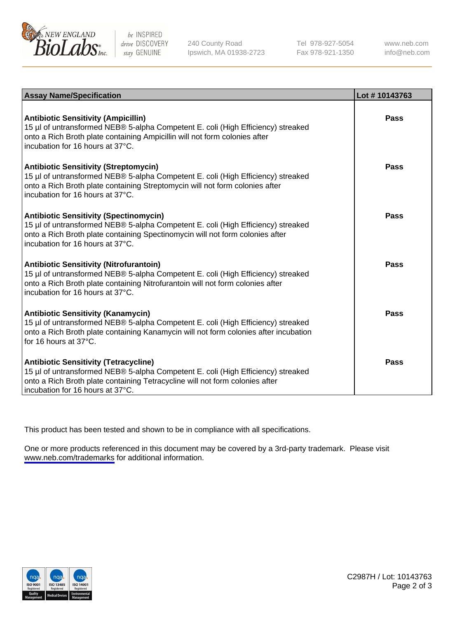

be INSPIRED drive DISCOVERY stay GENUINE

240 County Road Ipswich, MA 01938-2723 Tel 978-927-5054 Fax 978-921-1350

www.neb.com info@neb.com

| <b>Assay Name/Specification</b>                                                                                                                                                                                                                          | Lot #10143763 |
|----------------------------------------------------------------------------------------------------------------------------------------------------------------------------------------------------------------------------------------------------------|---------------|
| <b>Antibiotic Sensitivity (Ampicillin)</b><br>15 µl of untransformed NEB® 5-alpha Competent E. coli (High Efficiency) streaked<br>onto a Rich Broth plate containing Ampicillin will not form colonies after<br>incubation for 16 hours at 37°C.         | Pass          |
| <b>Antibiotic Sensitivity (Streptomycin)</b><br>15 µl of untransformed NEB® 5-alpha Competent E. coli (High Efficiency) streaked<br>onto a Rich Broth plate containing Streptomycin will not form colonies after<br>incubation for 16 hours at 37°C.     | Pass          |
| <b>Antibiotic Sensitivity (Spectinomycin)</b><br>15 µl of untransformed NEB® 5-alpha Competent E. coli (High Efficiency) streaked<br>onto a Rich Broth plate containing Spectinomycin will not form colonies after<br>incubation for 16 hours at 37°C.   | Pass          |
| <b>Antibiotic Sensitivity (Nitrofurantoin)</b><br>15 µl of untransformed NEB® 5-alpha Competent E. coli (High Efficiency) streaked<br>onto a Rich Broth plate containing Nitrofurantoin will not form colonies after<br>incubation for 16 hours at 37°C. | Pass          |
| <b>Antibiotic Sensitivity (Kanamycin)</b><br>15 µl of untransformed NEB® 5-alpha Competent E. coli (High Efficiency) streaked<br>onto a Rich Broth plate containing Kanamycin will not form colonies after incubation<br>for 16 hours at 37°C.           | Pass          |
| <b>Antibiotic Sensitivity (Tetracycline)</b><br>15 µl of untransformed NEB® 5-alpha Competent E. coli (High Efficiency) streaked<br>onto a Rich Broth plate containing Tetracycline will not form colonies after<br>incubation for 16 hours at 37°C.     | Pass          |

This product has been tested and shown to be in compliance with all specifications.

One or more products referenced in this document may be covered by a 3rd-party trademark. Please visit <www.neb.com/trademarks>for additional information.